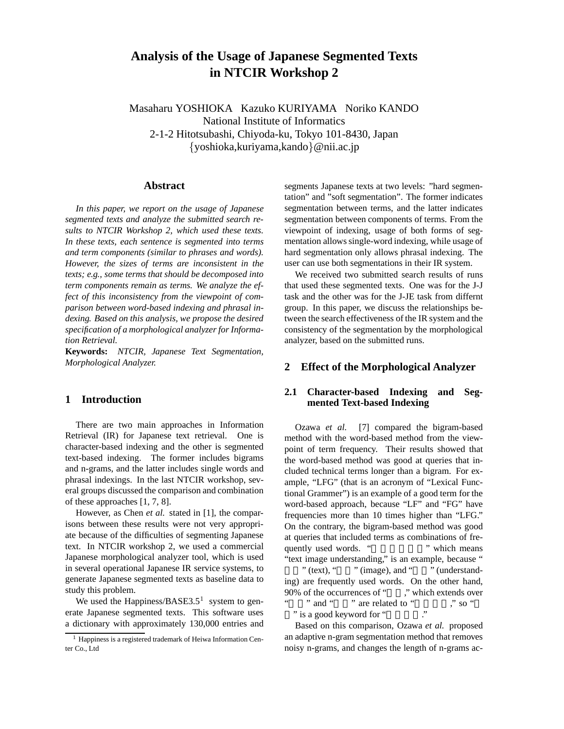# **Analysis of the Usage of Japanese Segmented Texts in NTCIR Workshop 2**

Masaharu YOSHIOKA Kazuko KURIYAMA Noriko KANDO National Institute of Informatics 2-1-2 Hitotsubashi, Chiyoda-ku, Tokyo 101-8430, Japan *{*yoshioka,kuriyama,kando*}*@nii.ac.jp

#### **Abstract**

*In this paper, we report on the usage of Japanese segmented texts and analyze the submitted search results to NTCIR Workshop 2, which used these texts. In these texts, each sentence is segmented into terms and term components (similar to phrases and words). However, the sizes of terms are inconsistent in the texts; e.g., some terms that should be decomposed into term components remain as terms. We analyze the effect of this inconsistency from the viewpoint of comparison between word-based indexing and phrasal indexing. Based on this analysis, we propose the desired specification of a morphological analyzer for Information Retrieval.*

**Keywords:** *NTCIR, Japanese Text Segmentation, Morphological Analyzer.*

## **1 Introduction**

There are two main approaches in Information Retrieval (IR) for Japanese text retrieval. One is character-based indexing and the other is segmented text-based indexing. The former includes bigrams and n-grams, and the latter includes single words and phrasal indexings. In the last NTCIR workshop, several groups discussed the comparison and combination of these approaches [1, 7, 8].

However, as Chen *et al.* stated in [1], the comparisons between these results were not very appropriate because of the difficulties of segmenting Japanese text. In NTCIR workshop 2, we used a commercial Japanese morphological analyzer tool, which is used in several operational Japanese IR service systems, to generate Japanese segmented texts as baseline data to study this problem.

We used the Happiness/BASE3.5<sup>1</sup> system to generate Japanese segmented texts. This software uses a dictionary with approximately 130,000 entries and segments Japanese texts at two levels: "hard segmentation" and "soft segmentation". The former indicates segmentation between terms, and the latter indicates segmentation between components of terms. From the viewpoint of indexing, usage of both forms of segmentation allows single-word indexing, while usage of hard segmentation only allows phrasal indexing. The user can use both segmentations in their IR system.

We received two submitted search results of runs that used these segmented texts. One was for the J-J task and the other was for the J-JE task from differnt group. In this paper, we discuss the relationships between the search effectiveness of the IR system and the consistency of the segmentation by the morphological analyzer, based on the submitted runs.

## **2 Effect of the Morphological Analyzer**

#### **2.1 Character-based Indexing and Segmented Text-based Indexing**

Ozawa *et al.* [7] compared the bigram-based method with the word-based method from the viewpoint of term frequency. Their results showed that the word-based method was good at queries that included technical terms longer than a bigram. For example, "LFG" (that is an acronym of "Lexical Functional Grammer") is an example of a good term for the word-based approach, because "LF" and "FG" have frequencies more than 10 times higher than "LFG." On the contrary, the bigram-based method was good at queries that included terms as combinations of frequently used words. "<sup>"</sup> which means "text image understanding," is an example, because " " (text), " $\dddot{\text{m}}$  (image), and " $\dddot{\text{m}}$  (understanding) are frequently used words. On the other hand, 90% of the occurrences of " $\cdot$ ", " which extends over" " and " " " are related to "  $\cdot$ " so " " are related to "  $\cdots$  " so " " is a good keyword for "

Based on this comparison, Ozawa *et al.* proposed an adaptive n-gram segmentation method that removes noisy n-grams, and changes the length of n-grams ac-

 $<sup>1</sup>$  Happiness is a registered trademark of Heiwa Information Cen-</sup> ter Co., Ltd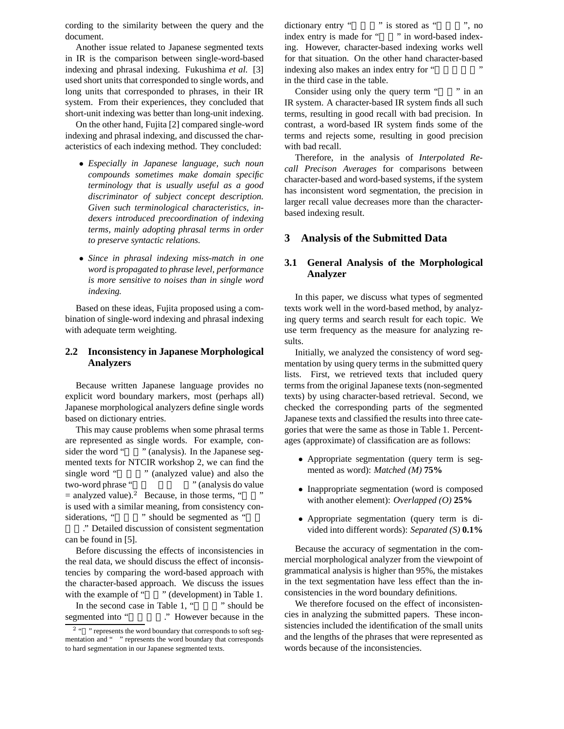cording to the similarity between the query and the document.

Another issue related to Japanese segmented texts in IR is the comparison between single-word-based indexing and phrasal indexing. Fukushima *et al.* [3] used short units that corresponded to single words, and long units that corresponded to phrases, in their IR system. From their experiences, they concluded that short-unit indexing was better than long-unit indexing.

On the other hand, Fujita [2] compared single-word indexing and phrasal indexing, and discussed the characteristics of each indexing method. They concluded:

- *• Especially in Japanese language, such noun compounds sometimes make domain specific terminology that is usually useful as a good discriminator of subject concept description. Given such terminological characteristics, indexers introduced precoordination of indexing terms, mainly adopting phrasal terms in order to preserve syntactic relations.*
- *• Since in phrasal indexing miss-match in one word is propagated to phrase level, performance is more sensitive to noises than in single word indexing.*

Based on these ideas, Fujita proposed using a combination of single-word indexing and phrasal indexing with adequate term weighting.

#### **2.2 Inconsistency in Japanese Morphological Analyzers**

Because written Japanese language provides no explicit word boundary markers, most (perhaps all) Japanese morphological analyzers define single words based on dictionary entries.

This may cause problems when some phrasal terms are represented as single words. For example, consider the word " " (analysis). In the Japanese segmented texts for NTCIR workshop 2, we can find the single word " " (analyzed value) and also the two-word phrase " "(analysis do value  $=$  analyzed value).<sup>2</sup> Because, in those terms, " is used with a similar meaning, from consistency considerations, "" should be segmented as "

." Detailed discussion of consistent segmentation can be found in [5].

Before discussing the effects of inconsistencies in the real data, we should discuss the effect of inconsistencies by comparing the word-based approach with the character-based approach. We discuss the issues with the example of "" (development) in Table 1. In the second case in Table 1, "" should be segmented into "<br>Newever because in the dictionary entry " is stored as ", no index entry is made for "" in word-based indexing. However, character-based indexing works well for that situation. On the other hand character-based indexing also makes an index entry for " in the third case in the table.

Consider using only the query term "" in an IR system. A character-based IR system finds all such terms, resulting in good recall with bad precision. In contrast, a word-based IR system finds some of the terms and rejects some, resulting in good precision with bad recall.

Therefore, in the analysis of *Interpolated Recall Precison Averages* for comparisons between character-based and word-based systems, if the system has inconsistent word segmentation, the precision in larger recall value decreases more than the characterbased indexing result.

### **3 Analysis of the Submitted Data**

## **3.1 General Analysis of the Morphological Analyzer**

In this paper, we discuss what types of segmented texts work well in the word-based method, by analyzing query terms and search result for each topic. We use term frequency as the measure for analyzing results.

Initially, we analyzed the consistency of word segmentation by using query terms in the submitted query lists. First, we retrieved texts that included query terms from the original Japanese texts (non-segmented texts) by using character-based retrieval. Second, we checked the corresponding parts of the segmented Japanese texts and classified the results into three categories that were the same as those in Table 1. Percentages (approximate) of classification are as follows:

- *•* Appropriate segmentation (query term is segmented as word): *Matched (M)* **75%**
- Inappropriate segmentation (word is composed with another element): *Overlapped (O)* **25%**
- *•* Appropriate segmentation (query term is divided into different words): *Separated (S)* **0.1%**

Because the accuracy of segmentation in the commercial morphological analyzer from the viewpoint of grammatical analysis is higher than 95%, the mistakes in the text segmentation have less effect than the inconsistencies in the word boundary definitions.

We therefore focused on the effect of inconsistencies in analyzing the submitted papers. These inconsistencies included the identification of the small units and the lengths of the phrases that were represented as words because of the inconsistencies.

<sup>&</sup>lt;sup>2</sup> " represents the word boundary that corresponds to soft segmentation and " " represents the word boundary that corresponds to hard segmentation in our Japanese segmented texts.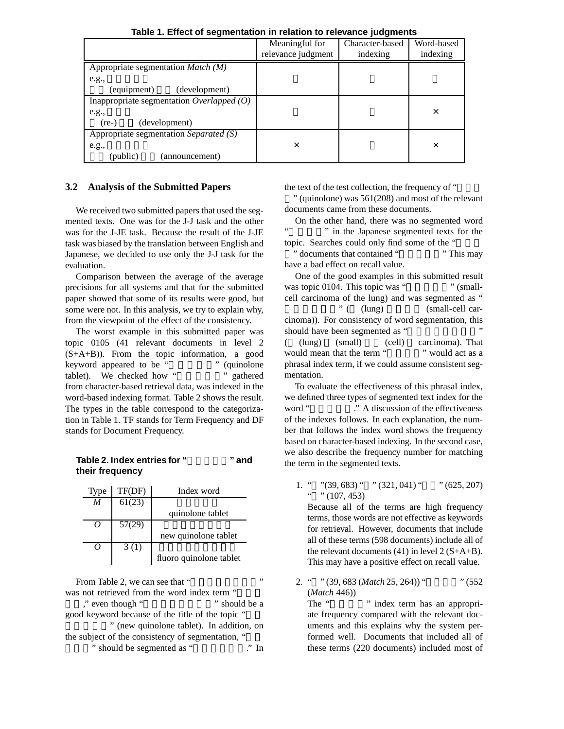|                                             | Meaningful for     | Character-based | Word-based |
|---------------------------------------------|--------------------|-----------------|------------|
|                                             | relevance judgment | indexing        | indexing   |
| Appropriate segmentation $Match (M)$        |                    |                 |            |
| e.g.,                                       |                    |                 |            |
| (equipment)<br>(development)                |                    |                 |            |
| Inappropriate segmentation Overlapped $(O)$ |                    |                 |            |
| e.g.,                                       |                    |                 | $\times$   |
| (development)<br>$(re-)$                    |                    |                 |            |
| Appropriate segmentation Separated $(S)$    |                    |                 |            |
| e.g.,                                       | ×                  |                 | $\times$   |
| (public)<br>(announcement)                  |                    |                 |            |

**Table 1. Effect of segmentation in relation to relevance judgments**

## **3.2 Analysis of the Submitted Papers**

We received two submitted papers that used the segmented texts. One was for the J-J task and the other was for the J-JE task. Because the result of the J-JE task was biased by the translation between English and Japanese, we decided to use only the J-J task for the evaluation.

Comparison between the average of the average precisions for all systems and that for the submitted paper showed that some of its results were good, but some were not. In this analysis, we try to explain why, from the viewpoint of the effect of the consistency.

The worst example in this submitted paper was topic 0105 (41 relevant documents in level 2 (S+A+B)). From the topic information, a good keyword appeared to be " " (quinolone tablet). We checked how " " gathered from character-based retrieval data, was indexed in the word-based indexing format. Table 2 shows the result. The types in the table correspond to the categorization in Table 1. TF stands for Term Frequency and DF stands for Document Frequency.

| Table 2. Index entries for " | " and |
|------------------------------|-------|
| their frequency              |       |

| <b>Type</b>      | TF(DF) | Index word              |
|------------------|--------|-------------------------|
| $\boldsymbol{M}$ | 61(23) |                         |
|                  |        | quinolone tablet        |
| $\theta$         | 57(29) |                         |
|                  |        | new quinolone tablet    |
| 7                | 3(1)   |                         |
|                  |        | fluoro quinolone tablet |

From Table 2, we can see that " was not retrieved from the word index term " " even though "<br>
"should be a good keyword because of the title of the topic " " (new quinolone tablet). In addition, on the subject of the consistency of segmentation, " " should be segmented as "

the text of the test collection, the frequency of "

 $"$  (quinolone) was  $561(208)$  and most of the relevant documents came from these documents.

On the other hand, there was no segmented word " in the Japanese segmented texts for the

topic. Searches could only find some of the " " documents that contained " have a bad effect on recall value.

One of the good examples in this submitted result was topic 0104. This topic was "  $\ldots$  " (smallcell carcinoma of the lung) and was segmented as "  $\frac{m}{m}$  (  $\frac{m}{m}$  (small-cell carcinoma)). For consistency of word segmentation, this should have been segmented as "  $(lung)$  (small)  $-cell)$  carcinoma). That would mean that the term " would act as a phrasal index term, if we could assume consistent segmentation.

To evaluate the effectiveness of this phrasal index, we defined three types of segmented text index for the word "  $\therefore$  " A discussion of the effectiveness of the indexes follows. In each explanation, the number that follows the index word shows the frequency based on character-based indexing. In the second case, we also describe the frequency number for matching the term in the segmented texts.

1. "  $"$ (39, 683) "  $"$  (321, 041) "  $"$  (625, 207)  $" " (107, 453)$ 

Because all of the terms are high frequency terms, those words are not effective as keywords for retrieval. However, documents that include all of these terms (598 documents) include all of the relevant documents  $(41)$  in level  $2(S+A+B)$ . This may have a positive effect on recall value.

2. " " (39, 683 (*Match* 25, 264)) " (552) (*Match* 446))

The " " index term has an appropriate frequency compared with the relevant documents and this explains why the system performed well. Documents that included all of these terms (220 documents) included most of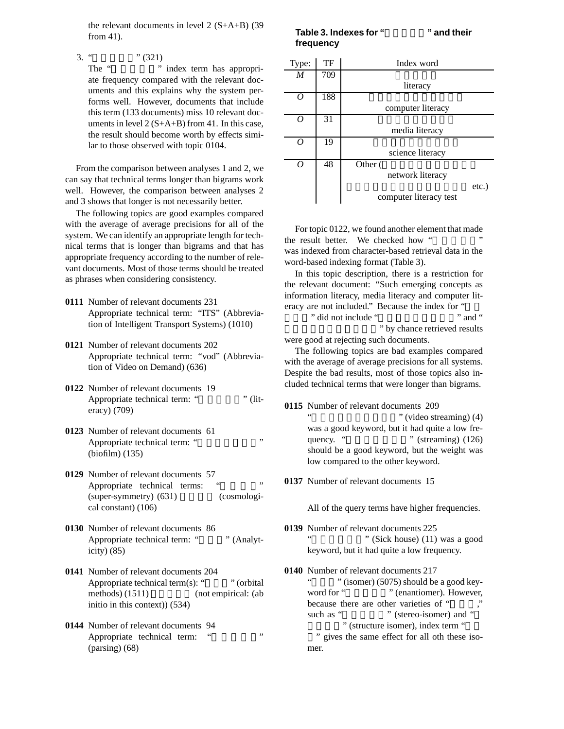the relevant documents in level 2 (S+A+B) (39 from 41).

3. " $\qquad$  " (321)

The "" index term has appropriate frequency compared with the relevant documents and this explains why the system performs well. However, documents that include this term (133 documents) miss 10 relevant documents in level  $2(S+A+B)$  from 41. In this case, the result should become worth by effects similar to those observed with topic 0104.

From the comparison between analyses 1 and 2, we can say that technical terms longer than bigrams work well. However, the comparison between analyses 2 and 3 shows that longer is not necessarily better.

The following topics are good examples compared with the average of average precisions for all of the system. We can identify an appropriate length for technical terms that is longer than bigrams and that has appropriate frequency according to the number of relevant documents. Most of those terms should be treated as phrases when considering consistency.

- **0111** Number of relevant documents 231 Appropriate technical term: "ITS" (Abbreviation of Intelligent Transport Systems) (1010)
- **0121** Number of relevant documents 202 Appropriate technical term: "vod" (Abbreviation of Video on Demand) (636)
- **0122** Number of relevant documents 19 Appropriate technical term: "
literacy) (709)
- **0123** Number of relevant documents 61 Appropriate technical term: " (biofilm) (135)
- **0129** Number of relevant documents 57 Appropriate technical terms: "  $(super-symmetry)$   $(631)$   $(cosmologi$ cal constant) (106)
- **0130** Number of relevant documents 86 Appropriate technical term: " " (Analyticity) (85)
- **0141** Number of relevant documents 204 Appropriate technical term(s): " $\qquad$ " (orbital  $\text{methods}$ ) (1511) (not empirical: (ab initio in this context)) (534)
- **0144** Number of relevant documents 94 Appropriate technical term: " (parsing) (68)

#### **Table 3. Indexes for "**  $\blacksquare$  " and their **frequency**

| Type:            | TF  | Index word             |          |
|------------------|-----|------------------------|----------|
| $\boldsymbol{M}$ | 709 |                        |          |
|                  |     | literacy               |          |
| 0                | 188 |                        |          |
|                  |     | computer literacy      |          |
| ( )              | 31  |                        |          |
|                  |     | media literacy         |          |
| O                | 19  |                        |          |
|                  |     | science literacy       |          |
| 0                | 48  | Other (                |          |
|                  |     | network literacy       |          |
|                  |     |                        | $etc.$ ) |
|                  |     | computer literacy test |          |

For topic 0122, we found another element that made the result better. We checked how " was indexed from character-based retrieval data in the word-based indexing format (Table 3).

In this topic description, there is a restriction for the relevant document: "Such emerging concepts as information literacy, media literacy and computer literacy are not included." Because the index for "

" did not include "  $\cdots$  and " " by chance retrieved results

were good at rejecting such documents. The following topics are bad examples compared with the average of average precisions for all systems.

Despite the bad results, most of those topics also included technical terms that were longer than bigrams.

- **0115** Number of relevant documents 209
	- " (video streaming) (4) was a good keyword, but it had quite a low frequency. " " (streaming) (126) should be a good keyword, but the weight was low compared to the other keyword.
- **0137** Number of relevant documents 15

All of the query terms have higher frequencies.

- **0139** Number of relevant documents 225  $"$  (Sick house) (11) was a good keyword, but it had quite a low frequency.
- **0140** Number of relevant documents 217 " (isomer) (5075) should be a good keyword for "<sup>\*\*</sup> (enantiomer). However, because there are other varieties of " such as "<sup>"</sup> (stereo-isomer) and " " (structure isomer), index term " " gives the same effect for all oth these isomer.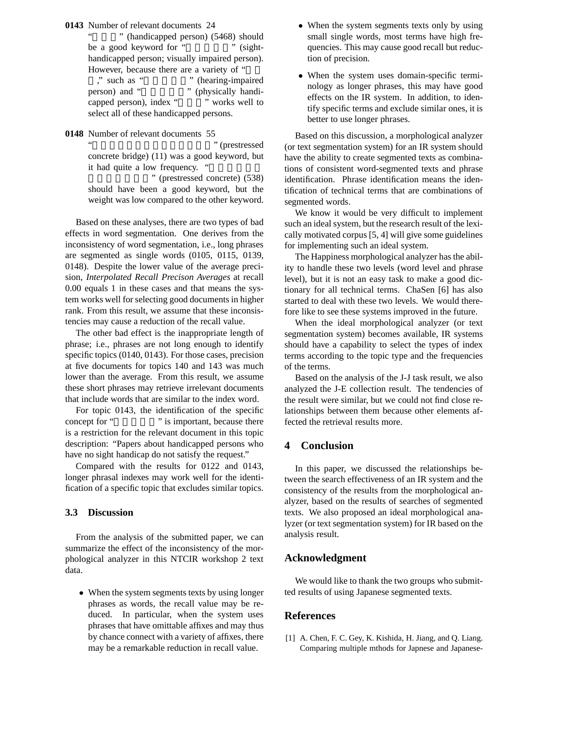**0143** Number of relevant documents 24

 $"$  (handicapped person) (5468) should be a good keyword for " " (sighthandicapped person; visually impaired person). However, because there are a variety of " %, " such as " " (hearing-impaired<br>person) and " " (physically handi-" (physically handicapped person), index " " works well to select all of these handicapped persons.

**0148** Number of relevant documents 55

" (prestressed concrete bridge) (11) was a good keyword, but it had quite a low frequency. "

" (prestressed concrete) (538) should have been a good keyword, but the weight was low compared to the other keyword.

Based on these analyses, there are two types of bad effects in word segmentation. One derives from the inconsistency of word segmentation, i.e., long phrases are segmented as single words (0105, 0115, 0139, 0148). Despite the lower value of the average precision, *Interpolated Recall Precison Averages* at recall 0.00 equals 1 in these cases and that means the system works well for selecting good documents in higher rank. From this result, we assume that these inconsistencies may cause a reduction of the recall value.

The other bad effect is the inappropriate length of phrase; i.e., phrases are not long enough to identify specific topics (0140, 0143). For those cases, precision at five documents for topics 140 and 143 was much lower than the average. From this result, we assume these short phrases may retrieve irrelevant documents that include words that are similar to the index word.

For topic 0143, the identification of the specific concept for " " is important, because there is a restriction for the relevant document in this topic description: "Papers about handicapped persons who have no sight handicap do not satisfy the request."

Compared with the results for 0122 and 0143, longer phrasal indexes may work well for the identification of a specific topic that excludes similar topics.

#### **3.3 Discussion**

From the analysis of the submitted paper, we can summarize the effect of the inconsistency of the morphological analyzer in this NTCIR workshop 2 text data.

• When the system segments texts by using longer phrases as words, the recall value may be reduced. In particular, when the system uses phrases that have omittable affixes and may thus by chance connect with a variety of affixes, there may be a remarkable reduction in recall value.

- When the system segments texts only by using small single words, most terms have high frequencies. This may cause good recall but reduction of precision.
- *•* When the system uses domain-specific terminology as longer phrases, this may have good effects on the IR system. In addition, to identify specific terms and exclude similar ones, it is better to use longer phrases.

Based on this discussion, a morphological analyzer (or text segmentation system) for an IR system should have the ability to create segmented texts as combinations of consistent word-segmented texts and phrase identification. Phrase identification means the identification of technical terms that are combinations of segmented words.

We know it would be very difficult to implement such an ideal system, but the research result of the lexically motivated corpus [5, 4] will give some guidelines for implementing such an ideal system.

The Happiness morphological analyzer has the ability to handle these two levels (word level and phrase level), but it is not an easy task to make a good dictionary for all technical terms. ChaSen [6] has also started to deal with these two levels. We would therefore like to see these systems improved in the future.

When the ideal morphological analyzer (or text segmentation system) becomes available, IR systems should have a capability to select the types of index terms according to the topic type and the frequencies of the terms.

Based on the analysis of the J-J task result, we also analyzed the J-E collection result. The tendencies of the result were similar, but we could not find close relationships between them because other elements affected the retrieval results more.

## **4 Conclusion**

In this paper, we discussed the relationships between the search effectiveness of an IR system and the consistency of the results from the morphological analyzer, based on the results of searches of segmented texts. We also proposed an ideal morphological analyzer (or text segmentation system) for IR based on the analysis result.

## **Acknowledgment**

We would like to thank the two groups who submitted results of using Japanese segmented texts.

#### **References**

[1] A. Chen, F. C. Gey, K. Kishida, H. Jiang, and Q. Liang. Comparing multiple mthods for Japnese and Japanese